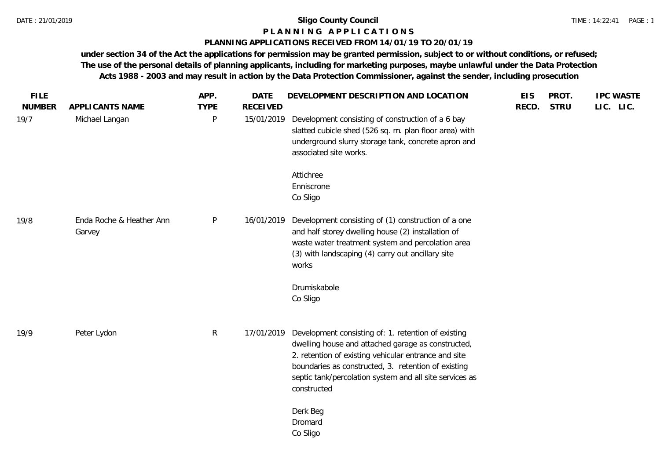# **P L A N N I N G A P P L I C A T I O N S**

# **PLANNING APPLICATIONS RECEIVED FROM 14/01/19 TO 20/01/19**

**under section 34 of the Act the applications for permission may be granted permission, subject to or without conditions, or refused; The use of the personal details of planning applicants, including for marketing purposes, maybe unlawful under the Data Protection Acts 1988 - 2003 and may result in action by the Data Protection Commissioner, against the sender, including prosecution**

| <b>FILE</b><br><b>NUMBER</b> | APPLICANTS NAME                    | APP.<br><b>TYPE</b> | <b>DATE</b><br><b>RECEIVED</b> | DEVELOPMENT DESCRIPTION AND LOCATION                                                                                                                                                                                                                                                               | <b>EIS</b><br>RECD. | PROT.<br><b>STRU</b> | <b>IPC WASTE</b><br>LIC. LIC. |
|------------------------------|------------------------------------|---------------------|--------------------------------|----------------------------------------------------------------------------------------------------------------------------------------------------------------------------------------------------------------------------------------------------------------------------------------------------|---------------------|----------------------|-------------------------------|
| 19/7                         | Michael Langan                     | P                   | 15/01/2019                     | Development consisting of construction of a 6 bay<br>slatted cubicle shed (526 sq. m. plan floor area) with<br>underground slurry storage tank, concrete apron and<br>associated site works.                                                                                                       |                     |                      |                               |
|                              |                                    |                     |                                | Attichree<br>Enniscrone<br>Co Sligo                                                                                                                                                                                                                                                                |                     |                      |                               |
| 19/8                         | Enda Roche & Heather Ann<br>Garvey | $\mathsf{P}$        | 16/01/2019                     | Development consisting of (1) construction of a one<br>and half storey dwelling house (2) installation of<br>waste water treatment system and percolation area<br>(3) with landscaping (4) carry out ancillary site<br>works                                                                       |                     |                      |                               |
|                              |                                    |                     |                                | Drumiskabole<br>Co Sligo                                                                                                                                                                                                                                                                           |                     |                      |                               |
| 19/9                         | Peter Lydon                        | $\mathsf{R}$        | 17/01/2019                     | Development consisting of: 1. retention of existing<br>dwelling house and attached garage as constructed,<br>2. retention of existing vehicular entrance and site<br>boundaries as constructed, 3. retention of existing<br>septic tank/percolation system and all site services as<br>constructed |                     |                      |                               |
|                              |                                    |                     |                                | Derk Beg<br>Dromard<br>Co Sligo                                                                                                                                                                                                                                                                    |                     |                      |                               |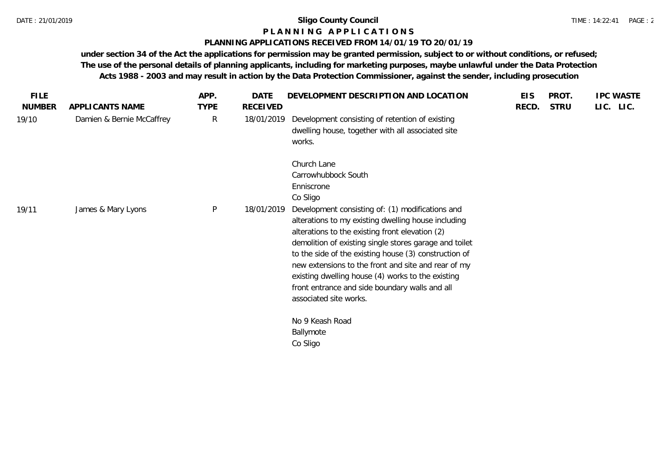#### **P L A N N I N G A P P L I C A T I O N S**

#### **PLANNING APPLICATIONS RECEIVED FROM 14/01/19 TO 20/01/19**

**under section 34 of the Act the applications for permission may be granted permission, subject to or without conditions, or refused; The use of the personal details of planning applicants, including for marketing purposes, maybe unlawful under the Data Protection Acts 1988 - 2003 and may result in action by the Data Protection Commissioner, against the sender, including prosecution**

|               |                           |              |            | DEVELOPMENT DESCRIPTION AND LOCATION                                                                                                                                                                                                                                                                                                                                                                                                                                  |       | PROT.       | <b>IPC WASTE</b> |
|---------------|---------------------------|--------------|------------|-----------------------------------------------------------------------------------------------------------------------------------------------------------------------------------------------------------------------------------------------------------------------------------------------------------------------------------------------------------------------------------------------------------------------------------------------------------------------|-------|-------------|------------------|
| <b>NUMBER</b> | APPLICANTS NAME           | <b>TYPE</b>  | RECEIVED   |                                                                                                                                                                                                                                                                                                                                                                                                                                                                       | RECD. | <b>STRU</b> | LIC. LIC.        |
| 19/10         | Damien & Bernie McCaffrey | $\mathsf{R}$ | 18/01/2019 | Development consisting of retention of existing<br>dwelling house, together with all associated site<br>works.                                                                                                                                                                                                                                                                                                                                                        |       |             |                  |
|               |                           |              |            | Church Lane<br>Carrowhubbock South<br>Enniscrone<br>Co Sligo                                                                                                                                                                                                                                                                                                                                                                                                          |       |             |                  |
| 19/11         | James & Mary Lyons        | $\mathsf{P}$ | 18/01/2019 | Development consisting of: (1) modifications and<br>alterations to my existing dwelling house including<br>alterations to the existing front elevation (2)<br>demolition of existing single stores garage and toilet<br>to the side of the existing house (3) construction of<br>new extensions to the front and site and rear of my<br>existing dwelling house (4) works to the existing<br>front entrance and side boundary walls and all<br>associated site works. |       |             |                  |
|               |                           |              |            | No 9 Keash Road<br>Ballymote<br>Co Sligo                                                                                                                                                                                                                                                                                                                                                                                                                              |       |             |                  |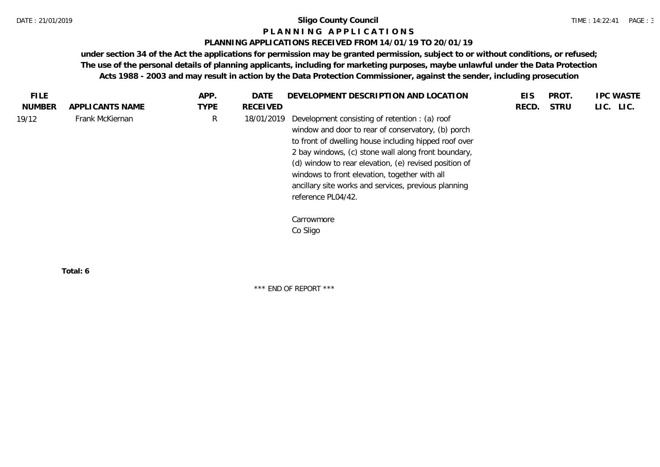#### **P L A N N I N G A P P L I C A T I O N S**

#### **PLANNING APPLICATIONS RECEIVED FROM 14/01/19 TO 20/01/19**

**under section 34 of the Act the applications for permission may be granted permission, subject to or without conditions, or refused; The use of the personal details of planning applicants, including for marketing purposes, maybe unlawful under the Data Protection Acts 1988 - 2003 and may result in action by the Data Protection Commissioner, against the sender, including prosecution**

| FILE.         |                 | APP.        | <b>DATE</b> | DEVELOPMENT DESCRIPTION AND LOCATION                                                                                                                                                                                                                                                                                                                                                                         | EIS   | PROT.       | <b>IPC WASTE</b> |
|---------------|-----------------|-------------|-------------|--------------------------------------------------------------------------------------------------------------------------------------------------------------------------------------------------------------------------------------------------------------------------------------------------------------------------------------------------------------------------------------------------------------|-------|-------------|------------------|
| <b>NUMBER</b> | APPLICANTS NAME | <b>TYPE</b> | RECEIVED    |                                                                                                                                                                                                                                                                                                                                                                                                              | RECD. | <b>STRU</b> | LIC. LIC.        |
| 19/12         | Frank McKiernan | R           | 18/01/2019  | Development consisting of retention : (a) roof<br>window and door to rear of conservatory, (b) porch<br>to front of dwelling house including hipped roof over<br>2 bay windows, (c) stone wall along front boundary,<br>(d) window to rear elevation, (e) revised position of<br>windows to front elevation, together with all<br>ancillary site works and services, previous planning<br>reference PL04/42. |       |             |                  |
|               |                 |             |             | Carrowmore<br>Co Sligo                                                                                                                                                                                                                                                                                                                                                                                       |       |             |                  |

**Total: 6**

\*\*\* END OF REPORT \*\*\*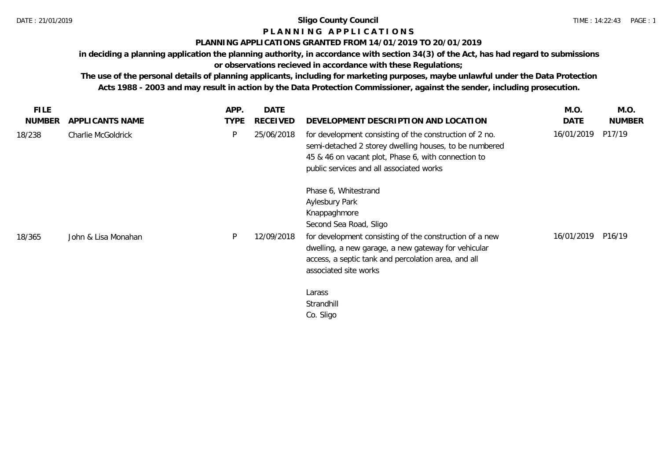# **P L A N N I N G A P P L I C A T I O N S**

## **PLANNING APPLICATIONS GRANTED FROM 14/01/2019 TO 20/01/2019**

**in deciding a planning application the planning authority, in accordance with section 34(3) of the Act, has had regard to submissions or observations recieved in accordance with these Regulations;**

| <b>FILE</b><br><b>NUMBER</b> | APPLICANTS NAME     | APP.<br><b>TYPE</b> | <b>DATE</b><br>RECEIVED | DEVELOPMENT DESCRIPTION AND LOCATION                                                                                                                                                                                 | M.O.<br>DATE | M.O.<br><b>NUMBER</b> |
|------------------------------|---------------------|---------------------|-------------------------|----------------------------------------------------------------------------------------------------------------------------------------------------------------------------------------------------------------------|--------------|-----------------------|
| 18/238                       | Charlie McGoldrick  | P                   | 25/06/2018              | for development consisting of the construction of 2 no.<br>semi-detached 2 storey dwelling houses, to be numbered<br>45 & 46 on vacant plot, Phase 6, with connection to<br>public services and all associated works | 16/01/2019   | P17/19                |
|                              |                     |                     |                         | Phase 6, Whitestrand<br>Aylesbury Park<br>Knappaghmore<br>Second Sea Road, Sligo                                                                                                                                     |              |                       |
| 18/365                       | John & Lisa Monahan | P                   | 12/09/2018              | for development consisting of the construction of a new<br>dwelling, a new garage, a new gateway for vehicular<br>access, a septic tank and percolation area, and all<br>associated site works                       | 16/01/2019   | P16/19                |
|                              |                     |                     |                         | Larass<br>Strandhill<br>Co. Sligo                                                                                                                                                                                    |              |                       |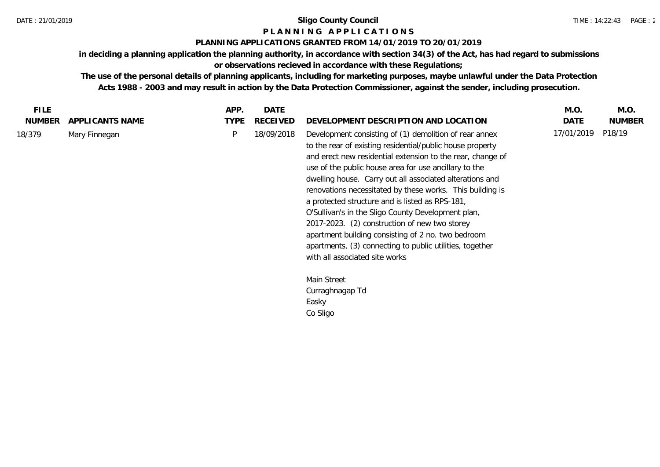# **P L A N N I N G A P P L I C A T I O N S**

# **PLANNING APPLICATIONS GRANTED FROM 14/01/2019 TO 20/01/2019**

**in deciding a planning application the planning authority, in accordance with section 34(3) of the Act, has had regard to submissions or observations recieved in accordance with these Regulations;**

| <b>NUMBER</b><br>APPLICANTS NAME<br><b>TYPE</b><br><b>RECEIVED</b><br>DATE<br><b>NUMBER</b><br>DEVELOPMENT DESCRIPTION AND LOCATION<br>17/01/2019<br>P18/19<br>P<br>18/09/2018<br>Development consisting of (1) demolition of rear annex<br>Mary Finnegan<br>to the rear of existing residential/public house property<br>and erect new residential extension to the rear, change of<br>use of the public house area for use ancillary to the<br>dwelling house. Carry out all associated alterations and<br>renovations necessitated by these works. This building is<br>a protected structure and is listed as RPS-181,<br>O'Sullivan's in the Sligo County Development plan,<br>2017-2023. (2) construction of new two storey<br>apartment building consisting of 2 no. two bedroom<br>apartments, (3) connecting to public utilities, together<br>with all associated site works<br>Main Street<br>Curraghnagap Td<br>Easky<br>Co Sligo | <b>FILE</b> | APP. | <b>DATE</b> | M.O. | M.O. |
|---------------------------------------------------------------------------------------------------------------------------------------------------------------------------------------------------------------------------------------------------------------------------------------------------------------------------------------------------------------------------------------------------------------------------------------------------------------------------------------------------------------------------------------------------------------------------------------------------------------------------------------------------------------------------------------------------------------------------------------------------------------------------------------------------------------------------------------------------------------------------------------------------------------------------------------------|-------------|------|-------------|------|------|
|                                                                                                                                                                                                                                                                                                                                                                                                                                                                                                                                                                                                                                                                                                                                                                                                                                                                                                                                             |             |      |             |      |      |
|                                                                                                                                                                                                                                                                                                                                                                                                                                                                                                                                                                                                                                                                                                                                                                                                                                                                                                                                             | 18/379      |      |             |      |      |
|                                                                                                                                                                                                                                                                                                                                                                                                                                                                                                                                                                                                                                                                                                                                                                                                                                                                                                                                             |             |      |             |      |      |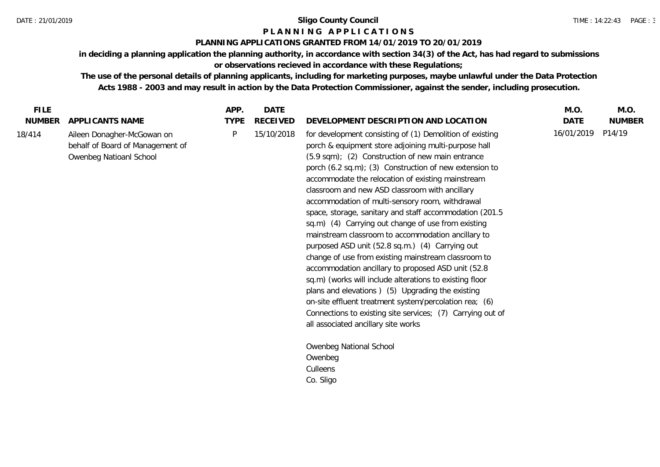# **P L A N N I N G A P P L I C A T I O N S**

# **PLANNING APPLICATIONS GRANTED FROM 14/01/2019 TO 20/01/2019**

**in deciding a planning application the planning authority, in accordance with section 34(3) of the Act, has had regard to submissions or observations recieved in accordance with these Regulations;**

| <b>FILE</b>   |                                                                                           | APP.        | DATE            |                                                                                                                                                                                                                                                                                                                                                                                                                                                                                                                                                                                                                                                                                                                                                                                                                                                                                                                                                                                                                 | M.O.       | M.O.          |
|---------------|-------------------------------------------------------------------------------------------|-------------|-----------------|-----------------------------------------------------------------------------------------------------------------------------------------------------------------------------------------------------------------------------------------------------------------------------------------------------------------------------------------------------------------------------------------------------------------------------------------------------------------------------------------------------------------------------------------------------------------------------------------------------------------------------------------------------------------------------------------------------------------------------------------------------------------------------------------------------------------------------------------------------------------------------------------------------------------------------------------------------------------------------------------------------------------|------------|---------------|
| <b>NUMBER</b> | APPLICANTS NAME                                                                           | <b>TYPE</b> | <b>RECEIVED</b> | DEVELOPMENT DESCRIPTION AND LOCATION                                                                                                                                                                                                                                                                                                                                                                                                                                                                                                                                                                                                                                                                                                                                                                                                                                                                                                                                                                            | DATE       | <b>NUMBER</b> |
| 18/414        | Aileen Donagher-McGowan on<br>behalf of Board of Management of<br>Owenbeg Natioanl School | P           | 15/10/2018      | for development consisting of (1) Demolition of existing<br>porch & equipment store adjoining multi-purpose hall<br>(5.9 sqm); (2) Construction of new main entrance<br>porch (6.2 sq.m); (3) Construction of new extension to<br>accommodate the relocation of existing mainstream<br>classroom and new ASD classroom with ancillary<br>accommodation of multi-sensory room, withdrawal<br>space, storage, sanitary and staff accommodation (201.5)<br>sq.m) (4) Carrying out change of use from existing<br>mainstream classroom to accommodation ancillary to<br>purposed ASD unit (52.8 sq.m.) (4) Carrying out<br>change of use from existing mainstream classroom to<br>accommodation ancillary to proposed ASD unit (52.8<br>sq.m) (works will include alterations to existing floor<br>plans and elevations ) (5) Upgrading the existing<br>on-site effluent treatment system/percolation rea; (6)<br>Connections to existing site services; (7) Carrying out of<br>all associated ancillary site works | 16/01/2019 | P14/19        |
|               |                                                                                           |             |                 | Owenbeg National School                                                                                                                                                                                                                                                                                                                                                                                                                                                                                                                                                                                                                                                                                                                                                                                                                                                                                                                                                                                         |            |               |
|               |                                                                                           |             |                 | Owenbeg                                                                                                                                                                                                                                                                                                                                                                                                                                                                                                                                                                                                                                                                                                                                                                                                                                                                                                                                                                                                         |            |               |
|               |                                                                                           |             |                 | Culleens                                                                                                                                                                                                                                                                                                                                                                                                                                                                                                                                                                                                                                                                                                                                                                                                                                                                                                                                                                                                        |            |               |
|               |                                                                                           |             |                 | Co. Sligo                                                                                                                                                                                                                                                                                                                                                                                                                                                                                                                                                                                                                                                                                                                                                                                                                                                                                                                                                                                                       |            |               |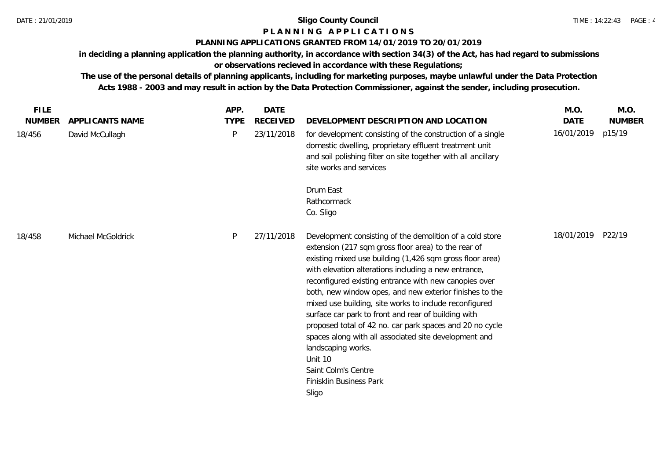# **P L A N N I N G A P P L I C A T I O N S**

# **PLANNING APPLICATIONS GRANTED FROM 14/01/2019 TO 20/01/2019**

**in deciding a planning application the planning authority, in accordance with section 34(3) of the Act, has had regard to submissions or observations recieved in accordance with these Regulations;**

| <b>FILE</b>   |                    | APP.         | <b>DATE</b>     |                                                                                                                                                                                                                                                                                                                                                                                                                                                                                                                                                                                                                                                                                           | M.O.        | M.O.          |
|---------------|--------------------|--------------|-----------------|-------------------------------------------------------------------------------------------------------------------------------------------------------------------------------------------------------------------------------------------------------------------------------------------------------------------------------------------------------------------------------------------------------------------------------------------------------------------------------------------------------------------------------------------------------------------------------------------------------------------------------------------------------------------------------------------|-------------|---------------|
| <b>NUMBER</b> | APPLICANTS NAME    | <b>TYPE</b>  | <b>RECEIVED</b> | DEVELOPMENT DESCRIPTION AND LOCATION                                                                                                                                                                                                                                                                                                                                                                                                                                                                                                                                                                                                                                                      | <b>DATE</b> | <b>NUMBER</b> |
| 18/456        | David McCullagh    | $\mathsf{P}$ | 23/11/2018      | for development consisting of the construction of a single<br>domestic dwelling, proprietary effluent treatment unit<br>and soil polishing filter on site together with all ancillary<br>site works and services                                                                                                                                                                                                                                                                                                                                                                                                                                                                          | 16/01/2019  | p15/19        |
|               |                    |              |                 | Drum East<br>Rathcormack<br>Co. Sligo                                                                                                                                                                                                                                                                                                                                                                                                                                                                                                                                                                                                                                                     |             |               |
| 18/458        | Michael McGoldrick | P            | 27/11/2018      | Development consisting of the demolition of a cold store<br>extension (217 sqm gross floor area) to the rear of<br>existing mixed use building (1,426 sqm gross floor area)<br>with elevation alterations including a new entrance,<br>reconfigured existing entrance with new canopies over<br>both, new window opes, and new exterior finishes to the<br>mixed use building, site works to include reconfigured<br>surface car park to front and rear of building with<br>proposed total of 42 no. car park spaces and 20 no cycle<br>spaces along with all associated site development and<br>landscaping works.<br>Unit 10<br>Saint Colm's Centre<br>Finisklin Business Park<br>Sligo | 18/01/2019  | P22/19        |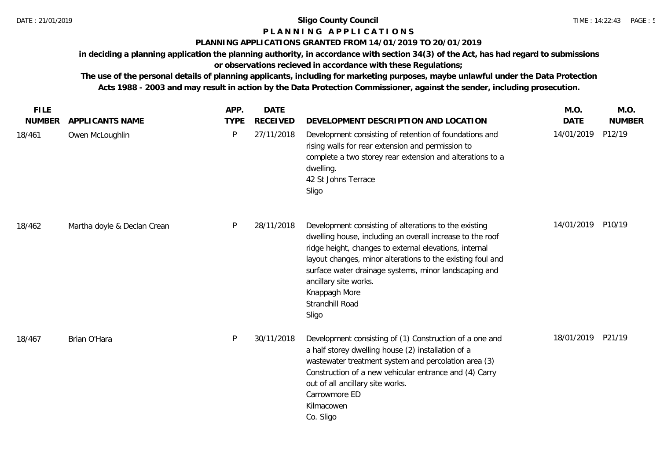# **P L A N N I N G A P P L I C A T I O N S**

## **PLANNING APPLICATIONS GRANTED FROM 14/01/2019 TO 20/01/2019**

**in deciding a planning application the planning authority, in accordance with section 34(3) of the Act, has had regard to submissions** 

**or observations recieved in accordance with these Regulations;**

| <b>FILE</b>             |                                    | APP.             | <b>DATE</b>                   |                                                                                                                                                                                                                                                                                                                                                                           | M.O.                      | M.O.                    |
|-------------------------|------------------------------------|------------------|-------------------------------|---------------------------------------------------------------------------------------------------------------------------------------------------------------------------------------------------------------------------------------------------------------------------------------------------------------------------------------------------------------------------|---------------------------|-------------------------|
| <b>NUMBER</b><br>18/461 | APPLICANTS NAME<br>Owen McLoughlin | <b>TYPE</b><br>P | <b>RECEIVED</b><br>27/11/2018 | DEVELOPMENT DESCRIPTION AND LOCATION<br>Development consisting of retention of foundations and<br>rising walls for rear extension and permission to<br>complete a two storey rear extension and alterations to a<br>dwelling.<br>42 St Johns Terrace<br>Sligo                                                                                                             | <b>DATE</b><br>14/01/2019 | <b>NUMBER</b><br>P12/19 |
| 18/462                  | Martha doyle & Declan Crean        | P                | 28/11/2018                    | Development consisting of alterations to the existing<br>dwelling house, including an overall increase to the roof<br>ridge height, changes to external elevations, internal<br>layout changes, minor alterations to the existing foul and<br>surface water drainage systems, minor landscaping and<br>ancillary site works.<br>Knappagh More<br>Strandhill Road<br>Sligo | 14/01/2019                | P10/19                  |
| 18/467                  | Brian O'Hara                       | P                | 30/11/2018                    | Development consisting of (1) Construction of a one and<br>a half storey dwelling house (2) installation of a<br>wastewater treatment system and percolation area (3)<br>Construction of a new vehicular entrance and (4) Carry<br>out of all ancillary site works.<br>Carrowmore ED<br>Kilmacowen<br>Co. Sligo                                                           | 18/01/2019                | P21/19                  |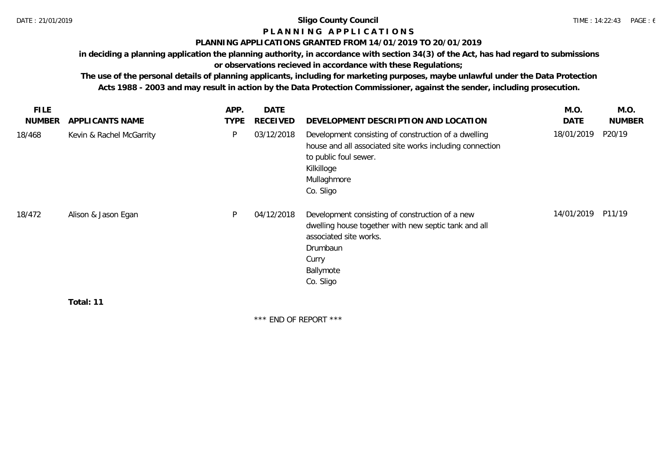# **P L A N N I N G A P P L I C A T I O N S**

### **PLANNING APPLICATIONS GRANTED FROM 14/01/2019 TO 20/01/2019**

**in deciding a planning application the planning authority, in accordance with section 34(3) of the Act, has had regard to submissions** 

**or observations recieved in accordance with these Regulations;**

**The use of the personal details of planning applicants, including for marketing purposes, maybe unlawful under the Data Protection Acts 1988 - 2003 and may result in action by the Data Protection Commissioner, against the sender, including prosecution.**

| <b>NUMBER</b><br>APPLICANTS NAME<br><b>TYPE</b><br>RECEIVED<br>DEVELOPMENT DESCRIPTION AND LOCATION<br>DATE<br>18/01/2019<br>P20/19<br>P<br>03/12/2018<br>Development consisting of construction of a dwelling<br>Kevin & Rachel McGarrity<br>house and all associated site works including connection<br>to public foul sewer.<br>Kilkilloge<br>Mullaghmore<br>Co. Sligo<br>14/01/2019<br>P11/19<br>P<br>04/12/2018<br>Development consisting of construction of a new<br>Alison & Jason Egan<br>dwelling house together with new septic tank and all<br>associated site works.<br>Drumbaun<br>Curry<br>Ballymote<br>Co. Sligo<br>Total: 11 | <b>FILE</b> | APP. | <b>DATE</b> | M.O. | M.O.          |
|----------------------------------------------------------------------------------------------------------------------------------------------------------------------------------------------------------------------------------------------------------------------------------------------------------------------------------------------------------------------------------------------------------------------------------------------------------------------------------------------------------------------------------------------------------------------------------------------------------------------------------------------|-------------|------|-------------|------|---------------|
|                                                                                                                                                                                                                                                                                                                                                                                                                                                                                                                                                                                                                                              |             |      |             |      | <b>NUMBER</b> |
|                                                                                                                                                                                                                                                                                                                                                                                                                                                                                                                                                                                                                                              | 18/468      |      |             |      |               |
|                                                                                                                                                                                                                                                                                                                                                                                                                                                                                                                                                                                                                                              | 18/472      |      |             |      |               |
|                                                                                                                                                                                                                                                                                                                                                                                                                                                                                                                                                                                                                                              |             |      |             |      |               |

\*\*\* END OF REPORT \*\*\*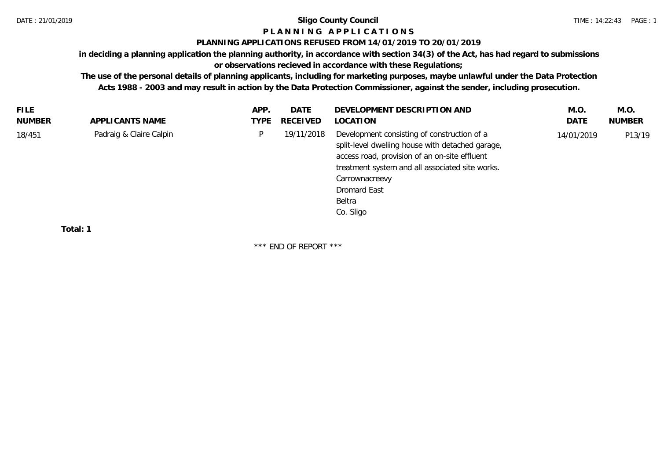# **P L A N N I N G A P P L I C A T I O N S**

### **PLANNING APPLICATIONS REFUSED FROM 14/01/2019 TO 20/01/2019**

**in deciding a planning application the planning authority, in accordance with section 34(3) of the Act, has had regard to submissions** 

# **or observations recieved in accordance with these Regulations;**

**The use of the personal details of planning applicants, including for marketing purposes, maybe unlawful under the Data Protection Acts 1988 - 2003 and may result in action by the Data Protection Commissioner, against the sender, including prosecution.**

| NUMBER<br>APPLICANTS NAME<br><b>RECEIVED</b><br>LOCATION<br>DATE<br><b>NUMBER</b><br>TYPE<br>Padraig & Claire Calpin<br>Development consisting of construction of a<br>19/11/2018<br>D.<br>18/451<br>P13/19<br>14/01/2019<br>split-level dwelling house with detached garage,<br>access road, provision of an on-site effluent<br>treatment system and all associated site works.<br>Carrownacreevy<br>Dromard East<br>Beltra | <b>FILE</b> | APP. | DATE | DEVELOPMENT DESCRIPTION AND | M.O. | M.O. |
|-------------------------------------------------------------------------------------------------------------------------------------------------------------------------------------------------------------------------------------------------------------------------------------------------------------------------------------------------------------------------------------------------------------------------------|-------------|------|------|-----------------------------|------|------|
|                                                                                                                                                                                                                                                                                                                                                                                                                               |             |      |      |                             |      |      |
| Co. Sligo                                                                                                                                                                                                                                                                                                                                                                                                                     |             |      |      |                             |      |      |

**Total: 1**

\*\*\* END OF REPORT \*\*\*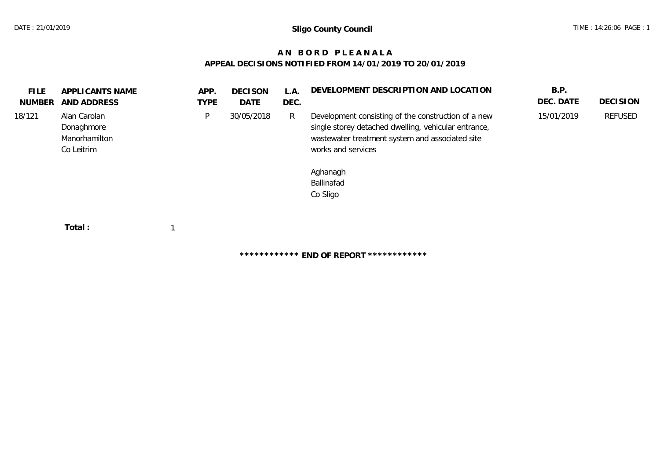# **A N B O R D P L E A N A L A APPEAL DECISIONS NOTIFIED FROM 14/01/2019 TO 20/01/2019**

| FILE.<br>NUMBER | APPLICANTS NAME<br>AND ADDRESS                            | APP.<br><b>TYPE</b> | <b>DECISON</b><br>DATE | L.A.<br>DEC. | DEVELOPMENT DESCRIPTION AND LOCATION                                                                                                                                                                                       | B.P.<br>DEC. DATE | <b>DECISION</b> |
|-----------------|-----------------------------------------------------------|---------------------|------------------------|--------------|----------------------------------------------------------------------------------------------------------------------------------------------------------------------------------------------------------------------------|-------------------|-----------------|
| 18/121          | Alan Carolan<br>Donaghmore<br>Manorhamilton<br>Co Leitrim | P                   | 30/05/2018             | R            | Development consisting of the construction of a new<br>single storey detached dwelling, vehicular entrance,<br>wastewater treatment system and associated site<br>works and services<br>Aghanagh<br>Ballinafad<br>Co Sligo | 15/01/2019        | REFUSED         |
|                 | Total:                                                    |                     |                        |              |                                                                                                                                                                                                                            |                   |                 |

**\*\*\*\*\*\*\*\*\*\*\*\* END OF REPORT \*\*\*\*\*\*\*\*\*\*\*\***